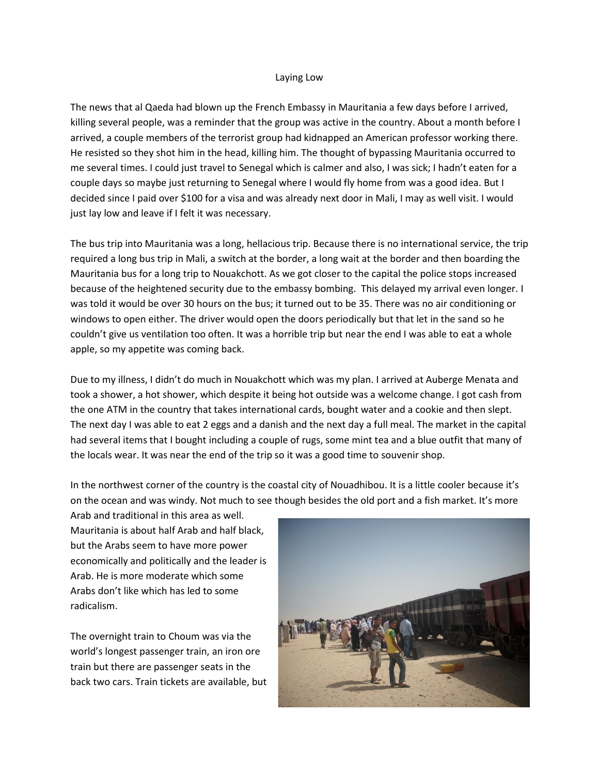## Laying Low

The news that al Qaeda had blown up the French Embassy in Mauritania a few days before I arrived, killing several people, was a reminder that the group was active in the country. About a month before I arrived, a couple members of the terrorist group had kidnapped an American professor working there. He resisted so they shot him in the head, killing him. The thought of bypassing Mauritania occurred to me several times. I could just travel to Senegal which is calmer and also, I was sick; I hadn't eaten for a couple days so maybe just returning to Senegal where I would fly home from was a good idea. But I decided since I paid over \$100 for a visa and was already next door in Mali, I may as well visit. I would just lay low and leave if I felt it was necessary.

The bus trip into Mauritania was a long, hellacious trip. Because there is no international service, the trip required a long bus trip in Mali, a switch at the border, a long wait at the border and then boarding the Mauritania bus for a long trip to Nouakchott. As we got closer to the capital the police stops increased because of the heightened security due to the embassy bombing. This delayed my arrival even longer. I was told it would be over 30 hours on the bus; it turned out to be 35. There was no air conditioning or windows to open either. The driver would open the doors periodically but that let in the sand so he couldn't give us ventilation too often. It was a horrible trip but near the end I was able to eat a whole apple, so my appetite was coming back.

Due to my illness, I didn't do much in Nouakchott which was my plan. I arrived at Auberge Menata and took a shower, a hot shower, which despite it being hot outside was a welcome change. I got cash from the one ATM in the country that takes international cards, bought water and a cookie and then slept. The next day I was able to eat 2 eggs and a danish and the next day a full meal. The market in the capital had several items that I bought including a couple of rugs, some mint tea and a blue outfit that many of the locals wear. It was near the end of the trip so it was a good time to souvenir shop.

In the northwest corner of the country is the coastal city of Nouadhibou. It is a little cooler because it's on the ocean and was windy. Not much to see though besides the old port and a fish market. It's more

Arab and traditional in this area as well. Mauritania is about half Arab and half black, but the Arabs seem to have more power economically and politically and the leader is Arab. He is more moderate which some Arabs don't like which has led to some radicalism.

The overnight train to Choum was via the world's longest passenger train, an iron ore train but there are passenger seats in the back two cars. Train tickets are available, but

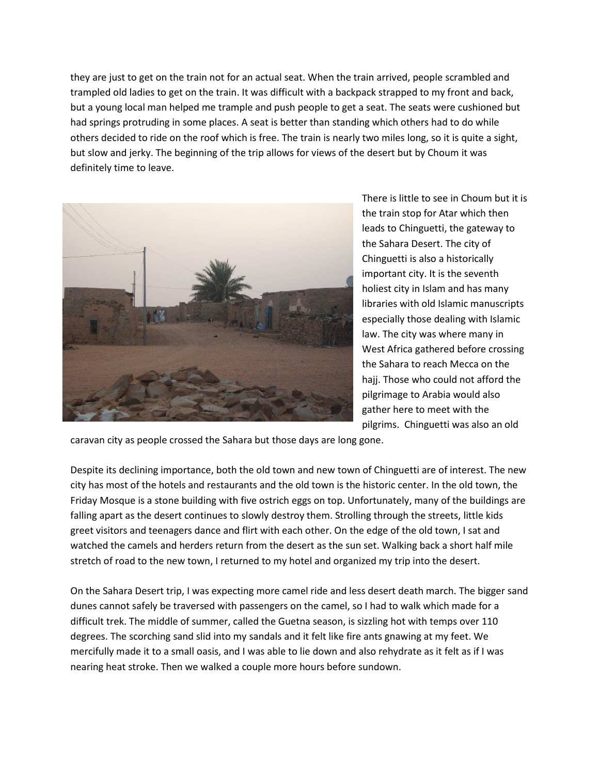they are just to get on the train not for an actual seat. When the train arrived, people scrambled and trampled old ladies to get on the train. It was difficult with a backpack strapped to my front and back, but a young local man helped me trample and push people to get a seat. The seats were cushioned but had springs protruding in some places. A seat is better than standing which others had to do while others decided to ride on the roof which is free. The train is nearly two miles long, so it is quite a sight, but slow and jerky. The beginning of the trip allows for views of the desert but by Choum it was definitely time to leave.



There is little to see in Choum but it is the train stop for Atar which then leads to Chinguetti, the gateway to the Sahara Desert. The city of Chinguetti is also a historically important city. It is the seventh holiest city in Islam and has many libraries with old Islamic manuscripts especially those dealing with Islamic law. The city was where many in West Africa gathered before crossing the Sahara to reach Mecca on the hajj. Those who could not afford the pilgrimage to Arabia would also gather here to meet with the pilgrims. Chinguetti was also an old

caravan city as people crossed the Sahara but those days are long gone.

Despite its declining importance, both the old town and new town of Chinguetti are of interest. The new city has most of the hotels and restaurants and the old town is the historic center. In the old town, the Friday Mosque is a stone building with five ostrich eggs on top. Unfortunately, many of the buildings are falling apart as the desert continues to slowly destroy them. Strolling through the streets, little kids greet visitors and teenagers dance and flirt with each other. On the edge of the old town, I sat and watched the camels and herders return from the desert as the sun set. Walking back a short half mile stretch of road to the new town, I returned to my hotel and organized my trip into the desert.

On the Sahara Desert trip, I was expecting more camel ride and less desert death march. The bigger sand dunes cannot safely be traversed with passengers on the camel, so I had to walk which made for a difficult trek. The middle of summer, called the Guetna season, is sizzling hot with temps over 110 degrees. The scorching sand slid into my sandals and it felt like fire ants gnawing at my feet. We mercifully made it to a small oasis, and I was able to lie down and also rehydrate as it felt as if I was nearing heat stroke. Then we walked a couple more hours before sundown.